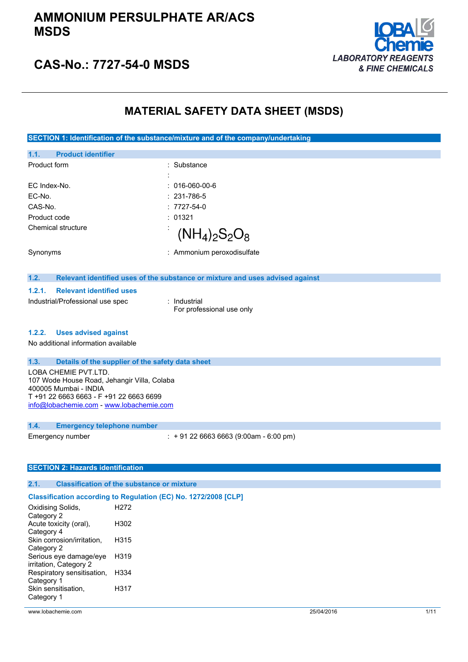

### **CAS-No.: 7727-54-0 MSDS**

### **MATERIAL SAFETY DATA SHEET (MSDS)**

**SECTION 1: Identification of the substance/mixture and of the company/undertaking**

| <b>Product identifier</b><br>1.1. |                               |
|-----------------------------------|-------------------------------|
| Product form                      | : Substance                   |
|                                   | ٠<br>$\cdot$                  |
| EC Index-No.                      | $: 016-060-00-6$              |
| EC-No.                            | $: 231 - 786 - 5$             |
| CAS-No.                           | $: 7727 - 54 - 0$             |
| Product code                      | : 01321                       |
| Chemical structure                | $\bullet$<br>$(NH_4)_2S_2O_8$ |
| Synonyms                          | : Ammonium peroxodisulfate    |

#### **1.2. Relevant identified uses of the substance or mixture and uses advised against**

### **1.2.1. Relevant identified uses**

Industrial/Professional use spec : Industrial

For professional use only

#### **1.2.2. Uses advised against**

No additional information available

#### **1.3. Details of the supplier of the safety data sheet**

LOBA CHEMIE PVT.LTD. 107 Wode House Road, Jehangir Villa, Colaba 400005 Mumbai - INDIA T +91 22 6663 6663 - F +91 22 6663 6699 [info@lobachemie.com](mailto:info@lobachemie.com) - <www.lobachemie.com>

#### **1.4. Emergency telephone number**

Emergency number : + 91 22 6663 6663 (9:00am - 6:00 pm)

#### **SECTION 2: Hazards identification**

### **2.1. Classification of the substance or mixture**

### **Classification according to Regulation (EC) No. 1272/2008 [CLP]**

| Oxidising Solids,          | H272 |
|----------------------------|------|
| Category 2                 |      |
| Acute toxicity (oral),     | H302 |
| Category 4                 |      |
| Skin corrosion/irritation, | H315 |
| Category 2                 |      |
| Serious eye damage/eye     | H319 |
| irritation, Category 2     |      |
| Respiratory sensitisation, | H334 |
| Category 1                 |      |
| Skin sensitisation,        | H317 |
| Category 1                 |      |
|                            |      |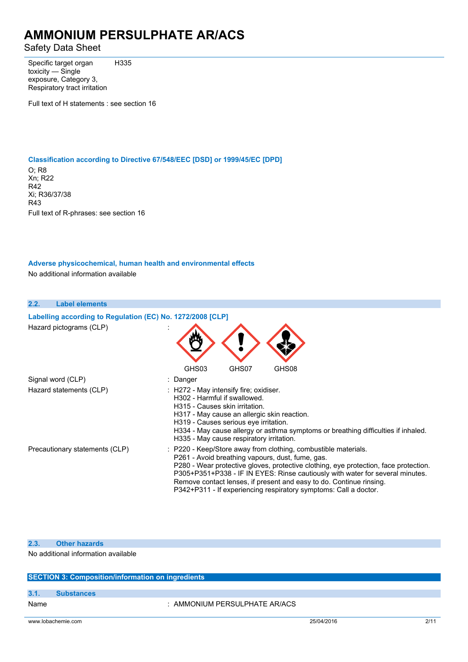Safety Data Sheet

Specific target organ toxicity — Single exposure, Category 3, Respiratory tract irritation H335

Full text of H statements : see section 16

#### **Classification according to Directive 67/548/EEC [DSD] or 1999/45/EC [DPD]**

O; R8 Xn; R22 R42 Xi; R36/37/38 R43 Full text of R-phrases: see section 16

### **Adverse physicochemical, human health and environmental effects**

No additional information available

### **2.2. Label elements Labelling according to** Regulation (EC) No. 1272/2008 [CLP] Hazard pictograms (CLP) : GHS03 GHS07 GHS08 Signal word (CLP) : Danger Hazard statements (CLP) : H272 - May intensify fire; oxidiser. H302 - Harmful if swallowed. H315 - Causes skin irritation. H317 - May cause an allergic skin reaction. H319 - Causes serious eye irritation. H334 - May cause allergy or asthma symptoms or breathing difficulties if inhaled. H335 - May cause respiratory irritation. Precautionary statements (CLP) : P220 - Keep/Store away from clothing, combustible materials. P261 - Avoid breathing vapours, dust, fume, gas. P280 - Wear protective gloves, protective clothing, eye protection, face protection. P305+P351+P338 - IF IN EYES: Rinse cautiously with water for several minutes. Remove contact lenses, if present and easy to do. Continue rinsing. P342+P311 - If experiencing respiratory symptoms: Call a doctor.

#### **2.3. Other hazards**

No additional information available

#### **SECTION 3: Composition/information on ingredients**

#### **3.1. Substances**

Name : AMMONIUM PERSULPHATE AR/ACS

www.lobachemie.com 25/04/2016 2/11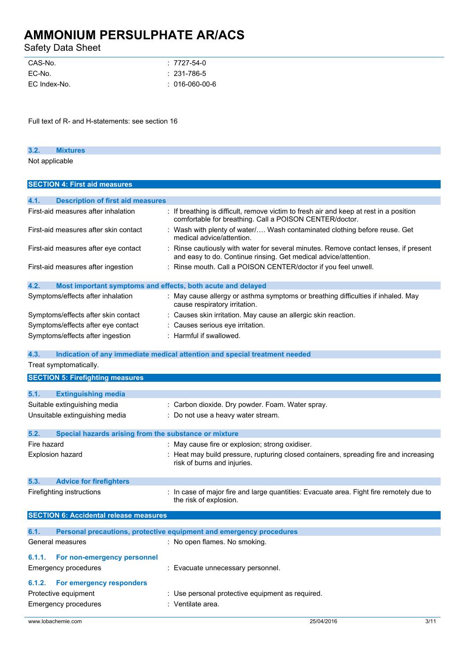Safety Data Sheet

| $: 7727 - 54 - 0$ |
|-------------------|
| $: 231 - 786 - 5$ |
| $: 016-060-00-6$  |
|                   |

Full text of R- and H-statements: see section 16

| . . |                |  |  |
|-----|----------------|--|--|
|     | Not applicable |  |  |

| <b>SECTION 4: First aid measures</b>                                |                                                                                                                                                       |
|---------------------------------------------------------------------|-------------------------------------------------------------------------------------------------------------------------------------------------------|
|                                                                     |                                                                                                                                                       |
| 4.1.<br><b>Description of first aid measures</b>                    |                                                                                                                                                       |
| First-aid measures after inhalation                                 | : If breathing is difficult, remove victim to fresh air and keep at rest in a position<br>comfortable for breathing. Call a POISON CENTER/doctor.     |
| First-aid measures after skin contact                               | : Wash with plenty of water/ Wash contaminated clothing before reuse. Get<br>medical advice/attention.                                                |
| First-aid measures after eye contact                                | Rinse cautiously with water for several minutes. Remove contact lenses, if present<br>and easy to do. Continue rinsing. Get medical advice/attention. |
| First-aid measures after ingestion                                  | : Rinse mouth. Call a POISON CENTER/doctor if you feel unwell.                                                                                        |
| 4.2.<br>Most important symptoms and effects, both acute and delayed |                                                                                                                                                       |
| Symptoms/effects after inhalation                                   | : May cause allergy or asthma symptoms or breathing difficulties if inhaled. May<br>cause respiratory irritation.                                     |
| Symptoms/effects after skin contact                                 | : Causes skin irritation. May cause an allergic skin reaction.                                                                                        |
| Symptoms/effects after eye contact                                  | Causes serious eye irritation.                                                                                                                        |
| Symptoms/effects after ingestion                                    | : Harmful if swallowed.                                                                                                                               |
|                                                                     |                                                                                                                                                       |
| 4.3.                                                                | Indication of any immediate medical attention and special treatment needed                                                                            |
| Treat symptomatically.                                              |                                                                                                                                                       |
| <b>SECTION 5: Firefighting measures</b>                             |                                                                                                                                                       |
|                                                                     |                                                                                                                                                       |
| 5.1.<br><b>Extinguishing media</b>                                  |                                                                                                                                                       |
| Suitable extinguishing media                                        | : Carbon dioxide. Dry powder. Foam. Water spray.                                                                                                      |
| Unsuitable extinguishing media                                      | Do not use a heavy water stream.                                                                                                                      |
|                                                                     |                                                                                                                                                       |
| Special hazards arising from the substance or mixture<br>5.2.       |                                                                                                                                                       |
| Fire hazard                                                         | : May cause fire or explosion; strong oxidiser.                                                                                                       |
| Explosion hazard                                                    | Heat may build pressure, rupturing closed containers, spreading fire and increasing<br>risk of burns and injuries.                                    |
| 5.3.<br><b>Advice for firefighters</b>                              |                                                                                                                                                       |
| Firefighting instructions                                           | : In case of major fire and large quantities: Evacuate area. Fight fire remotely due to<br>the risk of explosion.                                     |
| <b>SECTION 6: Accidental release measures</b>                       |                                                                                                                                                       |
| 6.1.                                                                | Personal precautions, protective equipment and emergency procedures                                                                                   |
| General measures                                                    | : No open flames. No smoking.                                                                                                                         |
| 6.1.1.<br>For non-emergency personnel                               |                                                                                                                                                       |
| <b>Emergency procedures</b>                                         | : Evacuate unnecessary personnel.                                                                                                                     |
|                                                                     |                                                                                                                                                       |
| 6.1.2. For emergency responders                                     |                                                                                                                                                       |
| Protective equipment                                                | : Use personal protective equipment as required.                                                                                                      |
| <b>Emergency procedures</b><br>: Ventilate area.                    |                                                                                                                                                       |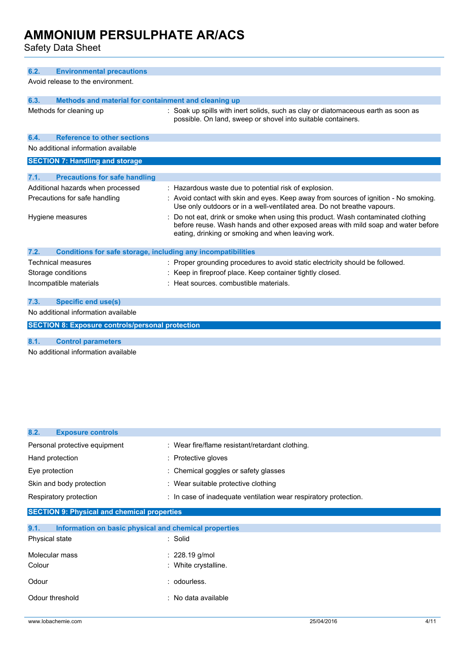Safety Data Sheet

| 6.2.<br><b>Environmental precautions</b>                                    |                                                                                                                                                                                                                          |  |  |
|-----------------------------------------------------------------------------|--------------------------------------------------------------------------------------------------------------------------------------------------------------------------------------------------------------------------|--|--|
| Avoid release to the environment.                                           |                                                                                                                                                                                                                          |  |  |
| 6.3.<br>Methods and material for containment and cleaning up                |                                                                                                                                                                                                                          |  |  |
| Methods for cleaning up                                                     | : Soak up spills with inert solids, such as clay or diatomaceous earth as soon as<br>possible. On land, sweep or shovel into suitable containers.                                                                        |  |  |
| <b>Reference to other sections</b><br>6.4.                                  |                                                                                                                                                                                                                          |  |  |
| No additional information available                                         |                                                                                                                                                                                                                          |  |  |
| <b>SECTION 7: Handling and storage</b>                                      |                                                                                                                                                                                                                          |  |  |
|                                                                             |                                                                                                                                                                                                                          |  |  |
| 7.1.<br><b>Precautions for safe handling</b>                                |                                                                                                                                                                                                                          |  |  |
| Additional hazards when processed                                           | : Hazardous waste due to potential risk of explosion.                                                                                                                                                                    |  |  |
| Precautions for safe handling                                               | : Avoid contact with skin and eyes. Keep away from sources of ignition - No smoking.<br>Use only outdoors or in a well-ventilated area. Do not breathe vapours.                                                          |  |  |
| Hygiene measures                                                            | Do not eat, drink or smoke when using this product. Wash contaminated clothing<br>before reuse. Wash hands and other exposed areas with mild soap and water before<br>eating, drinking or smoking and when leaving work. |  |  |
| 7.2.<br><b>Conditions for safe storage, including any incompatibilities</b> |                                                                                                                                                                                                                          |  |  |
| Technical measures                                                          | : Proper grounding procedures to avoid static electricity should be followed.                                                                                                                                            |  |  |
| Storage conditions                                                          | : Keep in fireproof place. Keep container tightly closed.                                                                                                                                                                |  |  |
| Incompatible materials                                                      | Heat sources, combustible materials.                                                                                                                                                                                     |  |  |
| 7.3.<br><b>Specific end use(s)</b>                                          |                                                                                                                                                                                                                          |  |  |
| No additional information available                                         |                                                                                                                                                                                                                          |  |  |
| <b>SECTION 8: Exposure controls/personal protection</b>                     |                                                                                                                                                                                                                          |  |  |

**8.1. Control parameters**

No additional information available

| 8.2.<br><b>Exposure controls</b>                              |                                                                  |  |  |
|---------------------------------------------------------------|------------------------------------------------------------------|--|--|
| Personal protective equipment                                 | : Wear fire/flame resistant/retardant clothing.                  |  |  |
| Hand protection                                               | : Protective gloves                                              |  |  |
| Eye protection                                                | : Chemical goggles or safety glasses                             |  |  |
| Skin and body protection                                      | : Wear suitable protective clothing                              |  |  |
| Respiratory protection                                        | : In case of inadequate ventilation wear respiratory protection. |  |  |
| <b>SECTION 9: Physical and chemical properties</b>            |                                                                  |  |  |
| 9.1.<br>Information on basic physical and chemical properties |                                                                  |  |  |
| Physical state                                                | : Solid                                                          |  |  |
| Molecular mass                                                | $: 228.19$ g/mol                                                 |  |  |
| Colour                                                        | : White crystalline.                                             |  |  |
| Odour                                                         | : odourless.                                                     |  |  |
| Odour threshold                                               | : No data available                                              |  |  |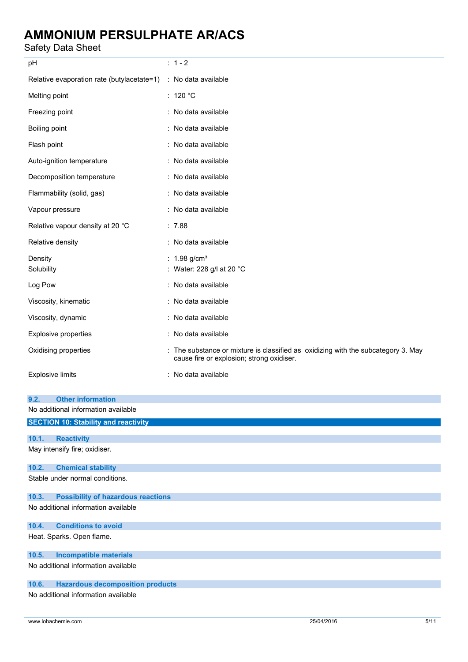Safety Data Sheet

| oaiciy Dala Olicci                                                      |                                                                                                                              |
|-------------------------------------------------------------------------|------------------------------------------------------------------------------------------------------------------------------|
| pH                                                                      | $: 1 - 2$                                                                                                                    |
| Relative evaporation rate (butylacetate=1)                              | : No data available                                                                                                          |
| Melting point                                                           | : 120 $^{\circ}$ C                                                                                                           |
| Freezing point                                                          | : No data available                                                                                                          |
| Boiling point                                                           | : No data available                                                                                                          |
| Flash point                                                             | : No data available                                                                                                          |
| Auto-ignition temperature                                               | : No data available                                                                                                          |
| Decomposition temperature                                               | : No data available                                                                                                          |
| Flammability (solid, gas)                                               | : No data available                                                                                                          |
| Vapour pressure                                                         | : No data available                                                                                                          |
| Relative vapour density at 20 °C                                        | : 7.88                                                                                                                       |
| Relative density                                                        | : No data available                                                                                                          |
| Density<br>Solubility                                                   | : $1.98$ g/cm <sup>3</sup><br>Water: 228 g/l at 20 °C                                                                        |
| Log Pow                                                                 | : No data available                                                                                                          |
| Viscosity, kinematic                                                    | : No data available                                                                                                          |
| Viscosity, dynamic                                                      | : No data available                                                                                                          |
| <b>Explosive properties</b>                                             | : No data available                                                                                                          |
| Oxidising properties                                                    | The substance or mixture is classified as oxidizing with the subcategory 3. May<br>cause fire or explosion; strong oxidiser. |
| <b>Explosive limits</b>                                                 | : No data available                                                                                                          |
| 9.2.<br><b>Other information</b><br>No additional information available |                                                                                                                              |
| <b>SECTION 10: Stability and reactivity</b>                             |                                                                                                                              |
| 10.1.<br><b>Reactivity</b><br>May intensify fire; oxidiser.             |                                                                                                                              |
| 10.2.<br><b>Chemical stability</b>                                      |                                                                                                                              |
| Stable under normal conditions.                                         |                                                                                                                              |
| <b>Possibility of hazardous reactions</b><br>10.3.                      |                                                                                                                              |
| No additional information available                                     |                                                                                                                              |
| 10.4.<br><b>Conditions to avoid</b>                                     |                                                                                                                              |
| Heat. Sparks. Open flame.                                               |                                                                                                                              |
| 10.5.<br><b>Incompatible materials</b>                                  |                                                                                                                              |
|                                                                         |                                                                                                                              |

No additional information available

### **10.6. Hazardous decomposition products**

No additional information available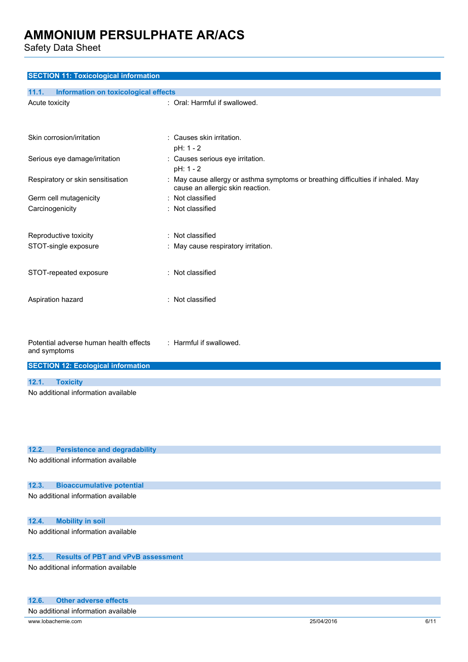Safety Data Sheet

| <b>SECTION 11: Toxicological information</b>                                                        |                                                                                                                      |  |  |
|-----------------------------------------------------------------------------------------------------|----------------------------------------------------------------------------------------------------------------------|--|--|
| 11.1.<br>Information on toxicological effects                                                       |                                                                                                                      |  |  |
| Acute toxicity                                                                                      | : Oral: Harmful if swallowed.                                                                                        |  |  |
| Skin corrosion/irritation                                                                           | : Causes skin irritation.<br>pH: 1 - 2                                                                               |  |  |
| Serious eye damage/irritation                                                                       | : Causes serious eye irritation.<br>pH: 1 - 2                                                                        |  |  |
| Respiratory or skin sensitisation                                                                   | : May cause allergy or asthma symptoms or breathing difficulties if inhaled. May<br>cause an allergic skin reaction. |  |  |
| Germ cell mutagenicity                                                                              | : Not classified                                                                                                     |  |  |
| Carcinogenicity                                                                                     | : Not classified                                                                                                     |  |  |
| Reproductive toxicity                                                                               | : Not classified                                                                                                     |  |  |
| STOT-single exposure                                                                                | : May cause respiratory irritation.                                                                                  |  |  |
| STOT-repeated exposure                                                                              | : Not classified                                                                                                     |  |  |
| Aspiration hazard                                                                                   | : Not classified                                                                                                     |  |  |
| Potential adverse human health effects<br>and symptoms<br><b>SECTION 12: Ecological information</b> | : Harmful if swallowed.                                                                                              |  |  |
|                                                                                                     |                                                                                                                      |  |  |
| 12.1.<br><b>Toxicity</b>                                                                            |                                                                                                                      |  |  |
| No additional information available                                                                 |                                                                                                                      |  |  |
| 12.2.<br><b>Persistence and degradability</b>                                                       |                                                                                                                      |  |  |
| No additional information available                                                                 |                                                                                                                      |  |  |
| 12.3.<br><b>Bioaccumulative potential</b>                                                           |                                                                                                                      |  |  |
| No additional information available                                                                 |                                                                                                                      |  |  |
| <b>Mobility in soil</b><br>12.4.                                                                    |                                                                                                                      |  |  |
| No additional information available                                                                 |                                                                                                                      |  |  |
| <b>Results of PBT and vPvB assessment</b><br>12.5.                                                  |                                                                                                                      |  |  |
| No additional information available                                                                 |                                                                                                                      |  |  |
| <b>Other adverse effects</b><br>12.6.                                                               |                                                                                                                      |  |  |
| No additional information available                                                                 |                                                                                                                      |  |  |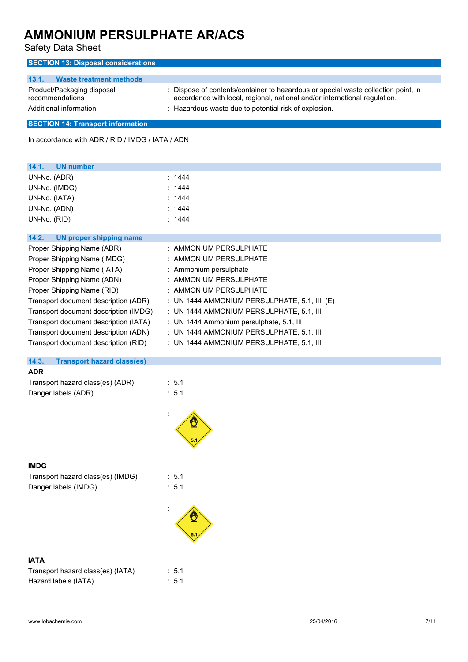| <b>SECTION 13: Disposal considerations</b>                                                                         |                                                                                                                                                                                                                           |
|--------------------------------------------------------------------------------------------------------------------|---------------------------------------------------------------------------------------------------------------------------------------------------------------------------------------------------------------------------|
| 13.1.<br><b>Waste treatment methods</b><br>Product/Packaging disposal<br>recommendations<br>Additional information | : Dispose of contents/container to hazardous or special waste collection point, in<br>accordance with local, regional, national and/or international regulation.<br>: Hazardous waste due to potential risk of explosion. |
| <b>SECTION 14: Transport information</b>                                                                           |                                                                                                                                                                                                                           |
| In accordance with ADR / RID / IMDG / IATA / ADN                                                                   |                                                                                                                                                                                                                           |
|                                                                                                                    |                                                                                                                                                                                                                           |
| 14.1.<br><b>UN number</b>                                                                                          |                                                                                                                                                                                                                           |
| UN-No. (ADR)                                                                                                       | : 1444                                                                                                                                                                                                                    |
| UN-No. (IMDG)                                                                                                      | : 1444                                                                                                                                                                                                                    |
| UN-No. (IATA)                                                                                                      | : 1444                                                                                                                                                                                                                    |
| UN-No. (ADN)                                                                                                       | : 1444                                                                                                                                                                                                                    |
| UN-No. (RID)                                                                                                       | : 1444                                                                                                                                                                                                                    |
| 14.2.<br><b>UN proper shipping name</b>                                                                            |                                                                                                                                                                                                                           |
| Proper Shipping Name (ADR)                                                                                         | : AMMONIUM PERSULPHATE                                                                                                                                                                                                    |
| Proper Shipping Name (IMDG)                                                                                        | : AMMONIUM PERSULPHATE                                                                                                                                                                                                    |
| Proper Shipping Name (IATA)                                                                                        | : Ammonium persulphate                                                                                                                                                                                                    |
| Proper Shipping Name (ADN)                                                                                         | : AMMONIUM PERSULPHATE                                                                                                                                                                                                    |
| Proper Shipping Name (RID)                                                                                         | : AMMONIUM PERSULPHATE                                                                                                                                                                                                    |
| Transport document description (ADR)                                                                               | : UN 1444 AMMONIUM PERSULPHATE, 5.1, III, (E)                                                                                                                                                                             |
| Transport document description (IMDG)                                                                              | : UN 1444 AMMONIUM PERSULPHATE, 5.1, III                                                                                                                                                                                  |
| Transport document description (IATA)                                                                              | : UN 1444 Ammonium persulphate, 5.1, III                                                                                                                                                                                  |
| Transport document description (ADN)                                                                               | : UN 1444 AMMONIUM PERSULPHATE, 5.1, III                                                                                                                                                                                  |
| Transport document description (RID)                                                                               | : UN 1444 AMMONIUM PERSULPHATE, 5.1, III                                                                                                                                                                                  |
| 14.3.<br><b>Transport hazard class(es)</b>                                                                         |                                                                                                                                                                                                                           |
|                                                                                                                    |                                                                                                                                                                                                                           |
| <b>ADR</b>                                                                                                         |                                                                                                                                                                                                                           |
| Transport hazard class(es) (ADR)<br>Danger labels (ADR)                                                            | : 5.1<br>: 5.1                                                                                                                                                                                                            |

### **IMDG**

Transport hazard class(es) (IMDG) : 5.1 Danger labels (IMDG) : 5.1

:



### **IATA**

| Transport hazard class(es) (IATA) | $\therefore$ 5.1 |
|-----------------------------------|------------------|
| Hazard labels (IATA)              | $\therefore$ 5.1 |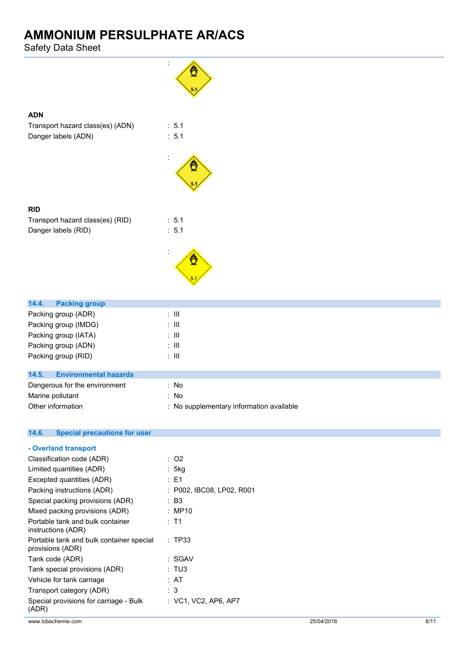Safety Data Sheet

**ADN**

**RID**



| - Overland transport                                         |                           |
|--------------------------------------------------------------|---------------------------|
| Classification code (ADR)                                    | : O2                      |
| Limited quantities (ADR)                                     | : 5kg                     |
| Excepted quantities (ADR)                                    | : E1                      |
| Packing instructions (ADR)                                   | : P002, IBC08, LP02, R001 |
| Special packing provisions (ADR)                             | : B3                      |
| Mixed packing provisions (ADR)                               | : MP10                    |
| Portable tank and bulk container<br>instructions (ADR)       | : T1                      |
| Portable tank and bulk container special<br>provisions (ADR) | : TP33                    |
| Tank code (ADR)                                              | : SGAV                    |
| Tank special provisions (ADR)                                | : TU3                     |
| Vehicle for tank carriage                                    | : AT                      |
| Transport category (ADR)                                     | : 3                       |
| Special provisions for carriage - Bulk<br>(ADR)              | : VC1, VC2, AP6, AP7      |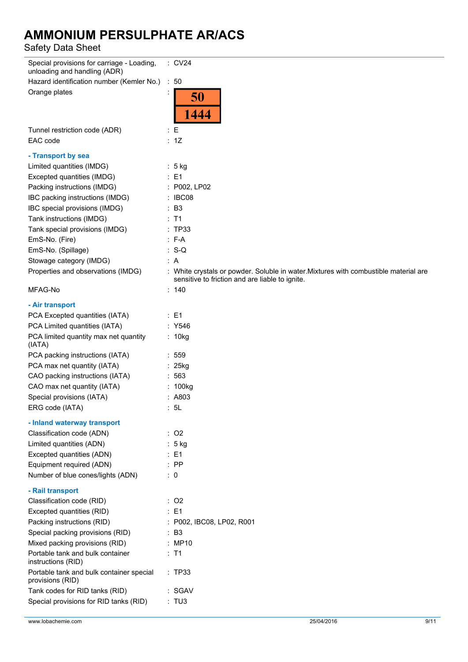Safety Data Sheet

| Special provisions for carriage - Loading,<br>unloading and handling (ADR) | $\therefore$ CV24                                                                                                                       |
|----------------------------------------------------------------------------|-----------------------------------------------------------------------------------------------------------------------------------------|
| Hazard identification number (Kemler No.)                                  | $\therefore$ 50                                                                                                                         |
| Orange plates                                                              | 50                                                                                                                                      |
|                                                                            | 1444                                                                                                                                    |
| Tunnel restriction code (ADR)                                              | : E                                                                                                                                     |
| EAC code                                                                   | : 1Z                                                                                                                                    |
| - Transport by sea                                                         |                                                                                                                                         |
| Limited quantities (IMDG)                                                  | ∶5 kg                                                                                                                                   |
| Excepted quantities (IMDG)                                                 | $\therefore$ E1                                                                                                                         |
| Packing instructions (IMDG)                                                | : P002, LP02                                                                                                                            |
| IBC packing instructions (IMDG)                                            | : IBC08                                                                                                                                 |
| IBC special provisions (IMDG)                                              | $\therefore$ B3                                                                                                                         |
| Tank instructions (IMDG)                                                   | $:$ T1                                                                                                                                  |
| Tank special provisions (IMDG)                                             | :TP33                                                                                                                                   |
| EmS-No. (Fire)                                                             | $: F-A$                                                                                                                                 |
| EmS-No. (Spillage)                                                         | $: S-Q$                                                                                                                                 |
| Stowage category (IMDG)                                                    | : A                                                                                                                                     |
| Properties and observations (IMDG)                                         | : White crystals or powder. Soluble in water. Mixtures with combustible material are<br>sensitive to friction and are liable to ignite. |
| MFAG-No                                                                    | : 140                                                                                                                                   |
| - Air transport                                                            |                                                                                                                                         |
| PCA Excepted quantities (IATA)                                             | : E1                                                                                                                                    |
| PCA Limited quantities (IATA)                                              | : Y546                                                                                                                                  |
| PCA limited quantity max net quantity<br>(IATA)                            | : 10kg                                                                                                                                  |
| PCA packing instructions (IATA)                                            | : 559                                                                                                                                   |
| PCA max net quantity (IATA)                                                | : 25kg                                                                                                                                  |
| CAO packing instructions (IATA)                                            | :563                                                                                                                                    |
| CAO max net quantity (IATA)                                                | $: 100$ kg                                                                                                                              |
| Special provisions (IATA)                                                  | : A803                                                                                                                                  |
| ERG code (IATA)                                                            | : 5L                                                                                                                                    |
| - Inland waterway transport                                                |                                                                                                                                         |
| Classification code (ADN)                                                  | $:$ O <sub>2</sub>                                                                                                                      |
| Limited quantities (ADN)                                                   | : 5 kg                                                                                                                                  |
| Excepted quantities (ADN)                                                  | $\therefore$ E1                                                                                                                         |
| Equipment required (ADN)                                                   | $:$ PP                                                                                                                                  |
| Number of blue cones/lights (ADN)                                          | $\therefore$ 0                                                                                                                          |
| - Rail transport                                                           |                                                                                                                                         |
| Classification code (RID)                                                  | $\therefore$ O2                                                                                                                         |
| Excepted quantities (RID)                                                  | : E1                                                                                                                                    |
| Packing instructions (RID)                                                 | : P002, IBC08, LP02, R001                                                                                                               |
| Special packing provisions (RID)                                           | : B3                                                                                                                                    |
| Mixed packing provisions (RID)                                             | : MP10                                                                                                                                  |
| Portable tank and bulk container<br>instructions (RID)                     | $:$ T1                                                                                                                                  |
| Portable tank and bulk container special<br>provisions (RID)               | : TP33                                                                                                                                  |
| Tank codes for RID tanks (RID)                                             | : SGAV                                                                                                                                  |
| Special provisions for RID tanks (RID)                                     | : TU3                                                                                                                                   |
|                                                                            |                                                                                                                                         |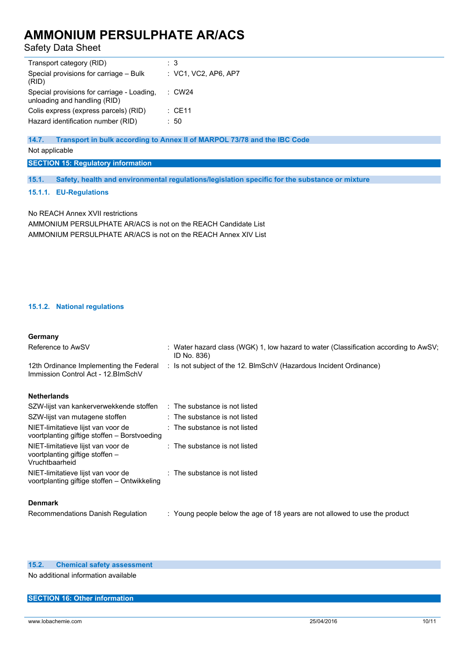Safety Data Sheet

| Transport category (RID)                                                   | : 3                  |
|----------------------------------------------------------------------------|----------------------|
| Special provisions for carriage - Bulk<br>(RID)                            | : VC1, VC2, AP6, AP7 |
| Special provisions for carriage - Loading,<br>unloading and handling (RID) | $\therefore$ CW24    |
| Colis express (express parcels) (RID)                                      | : CE11               |
| Hazard identification number (RID)                                         | : 50                 |
|                                                                            |                      |

**14.7. Transport in bulk according to Annex II of MARPOL 73/78 and the IBC Code**

Not applicable

**SECTION 15: Regulatory information**

**15.1. Safety, health and environmental regulations/legislation specific for the substance or mixture**

**15.1.1. EU-Regulations**

No REACH Annex XVII restrictions AMMONIUM PERSULPHATE AR/ACS is not on the REACH Candidate List AMMONIUM PERSULPHATE AR/ACS is not on the REACH Annex XIV List

### **15.1.2. National regulations**

### **Germany**

| $\ddotsc$                                                                               |                                                                                                     |
|-----------------------------------------------------------------------------------------|-----------------------------------------------------------------------------------------------------|
| Reference to AwSV                                                                       | : Water hazard class (WGK) 1, low hazard to water (Classification according to AwSV;<br>ID No. 836) |
| 12th Ordinance Implementing the Federal<br>Immission Control Act - 12. BlmSchV          | : Is not subject of the 12. BlmSchV (Hazardous Incident Ordinance)                                  |
| <b>Netherlands</b>                                                                      |                                                                                                     |
| SZW-lijst van kankerverwekkende stoffen : The substance is not listed                   |                                                                                                     |
| SZW-lijst van mutagene stoffen                                                          | $\therefore$ The substance is not listed                                                            |
| NIET-limitatieve lijst van voor de<br>voortplanting giftige stoffen - Borstvoeding      | : The substance is not listed                                                                       |
| NIET-limitatieve lijst van voor de<br>voortplanting giftige stoffen –<br>Vruchtbaarheid | $\therefore$ The substance is not listed                                                            |
| NIET-limitatieve lijst van voor de<br>voortplanting giftige stoffen – Ontwikkeling      | $\therefore$ The substance is not listed                                                            |
| <b>Denmark</b>                                                                          |                                                                                                     |
| Recommendations Danish Regulation                                                       | : Young people below the age of 18 years are not allowed to use the product                         |

#### **15.2. Chemical safety assessment**

No additional information available

#### **SECTION 16: Other information**